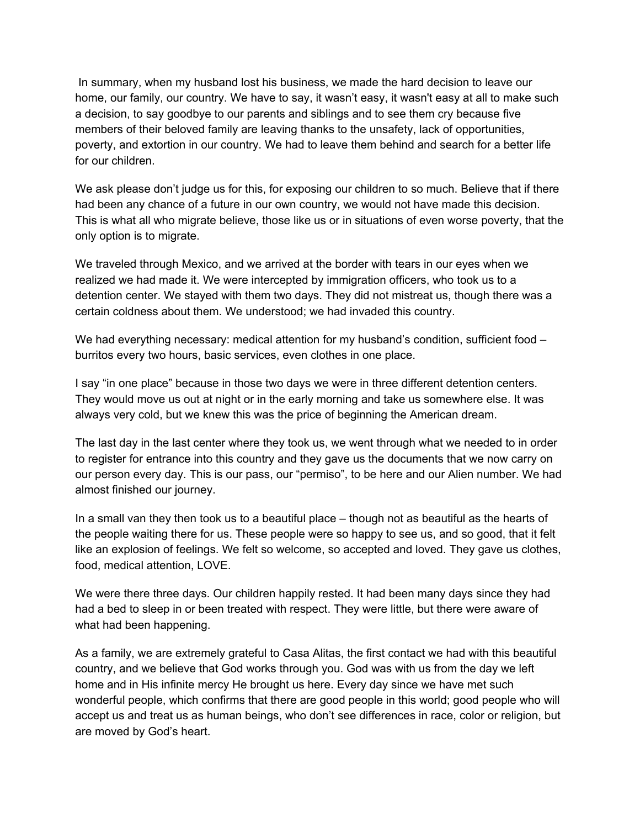In summary, when my husband lost his business, we made the hard decision to leave our home, our family, our country. We have to say, it wasn't easy, it wasn't easy at all to make such a decision, to say goodbye to our parents and siblings and to see them cry because five members of their beloved family are leaving thanks to the unsafety, lack of opportunities, poverty, and extortion in our country. We had to leave them behind and search for a better life for our children.

We ask please don't judge us for this, for exposing our children to so much. Believe that if there had been any chance of a future in our own country, we would not have made this decision. This is what all who migrate believe, those like us or in situations of even worse poverty, that the only option is to migrate.

We traveled through Mexico, and we arrived at the border with tears in our eyes when we realized we had made it. We were intercepted by immigration officers, who took us to a detention center. We stayed with them two days. They did not mistreat us, though there was a certain coldness about them. We understood; we had invaded this country.

We had everything necessary: medical attention for my husband's condition, sufficient food – burritos every two hours, basic services, even clothes in one place.

I say "in one place" because in those two days we were in three different detention centers. They would move us out at night or in the early morning and take us somewhere else. It was always very cold, but we knew this was the price of beginning the American dream.

The last day in the last center where they took us, we went through what we needed to in order to register for entrance into this country and they gave us the documents that we now carry on our person every day. This is our pass, our "permiso", to be here and our Alien number. We had almost finished our journey.

In a small van they then took us to a beautiful place – though not as beautiful as the hearts of the people waiting there for us. These people were so happy to see us, and so good, that it felt like an explosion of feelings. We felt so welcome, so accepted and loved. They gave us clothes, food, medical attention, LOVE.

We were there three days. Our children happily rested. It had been many days since they had had a bed to sleep in or been treated with respect. They were little, but there were aware of what had been happening.

As a family, we are extremely grateful to Casa Alitas, the first contact we had with this beautiful country, and we believe that God works through you. God was with us from the day we left home and in His infinite mercy He brought us here. Every day since we have met such wonderful people, which confirms that there are good people in this world; good people who will accept us and treat us as human beings, who don't see differences in race, color or religion, but are moved by God's heart.